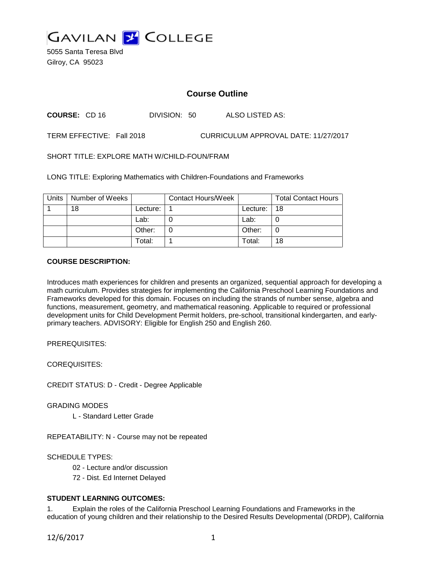

5055 Santa Teresa Blvd Gilroy, CA 95023

# **Course Outline**

**COURSE:** CD 16 DIVISION: 50 ALSO LISTED AS:

TERM EFFECTIVE: Fall 2018 CURRICULUM APPROVAL DATE: 11/27/2017

SHORT TITLE: EXPLORE MATH W/CHILD-FOUN/FRAM

LONG TITLE: Exploring Mathematics with Children-Foundations and Frameworks

| Units | Number of Weeks |            | <b>Contact Hours/Week</b> |          | <b>Total Contact Hours</b> |
|-------|-----------------|------------|---------------------------|----------|----------------------------|
|       | 18              | Lecture: . |                           | Lecture: | -18                        |
|       |                 | Lab:       |                           | Lab:     |                            |
|       |                 | Other:     |                           | Other:   |                            |
|       |                 | Total:     |                           | Total:   | 18                         |

## **COURSE DESCRIPTION:**

Introduces math experiences for children and presents an organized, sequential approach for developing a math curriculum. Provides strategies for implementing the California Preschool Learning Foundations and Frameworks developed for this domain. Focuses on including the strands of number sense, algebra and functions, measurement, geometry, and mathematical reasoning. Applicable to required or professional development units for Child Development Permit holders, pre-school, transitional kindergarten, and earlyprimary teachers. ADVISORY: Eligible for English 250 and English 260.

PREREQUISITES:

COREQUISITES:

CREDIT STATUS: D - Credit - Degree Applicable

GRADING MODES

L - Standard Letter Grade

REPEATABILITY: N - Course may not be repeated

SCHEDULE TYPES:

02 - Lecture and/or discussion

72 - Dist. Ed Internet Delayed

## **STUDENT LEARNING OUTCOMES:**

1. Explain the roles of the California Preschool Learning Foundations and Frameworks in the education of young children and their relationship to the Desired Results Developmental (DRDP), California

12/6/2017 1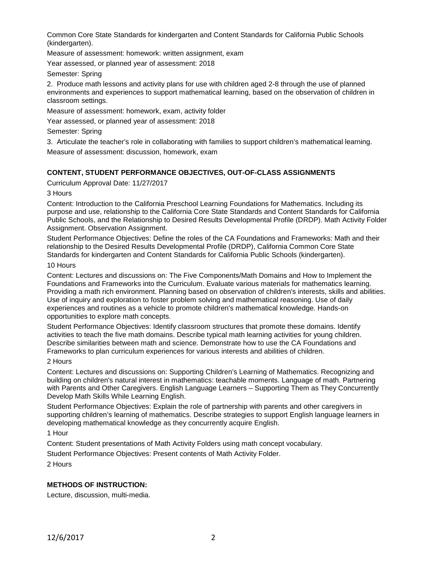Common Core State Standards for kindergarten and Content Standards for California Public Schools (kindergarten).

Measure of assessment: homework: written assignment, exam

Year assessed, or planned year of assessment: 2018

Semester: Spring

2. Produce math lessons and activity plans for use with children aged 2-8 through the use of planned environments and experiences to support mathematical learning, based on the observation of children in classroom settings.

Measure of assessment: homework, exam, activity folder

Year assessed, or planned year of assessment: 2018

Semester: Spring

3. Articulate the teacher's role in collaborating with families to support children's mathematical learning. Measure of assessment: discussion, homework, exam

# **CONTENT, STUDENT PERFORMANCE OBJECTIVES, OUT-OF-CLASS ASSIGNMENTS**

Curriculum Approval Date: 11/27/2017

3 Hours

Content: Introduction to the California Preschool Learning Foundations for Mathematics. Including its purpose and use, relationship to the California Core State Standards and Content Standards for California Public Schools, and the Relationship to Desired Results Developmental Profile (DRDP). Math Activity Folder Assignment. Observation Assignment.

Student Performance Objectives: Define the roles of the CA Foundations and Frameworks: Math and their relationship to the Desired Results Developmental Profile (DRDP), California Common Core State Standards for kindergarten and Content Standards for California Public Schools (kindergarten).

#### 10 Hours

Content: Lectures and discussions on: The Five Components/Math Domains and How to Implement the Foundations and Frameworks into the Curriculum. Evaluate various materials for mathematics learning. Providing a math rich environment. Planning based on observation of children's interests, skills and abilities. Use of inquiry and exploration to foster problem solving and mathematical reasoning. Use of daily experiences and routines as a vehicle to promote children's mathematical knowledge. Hands-on opportunities to explore math concepts.

Student Performance Objectives: Identify classroom structures that promote these domains. Identify activities to teach the five math domains. Describe typical math learning activities for young children. Describe similarities between math and science. Demonstrate how to use the CA Foundations and Frameworks to plan curriculum experiences for various interests and abilities of children.

## 2 Hours

Content: Lectures and discussions on: Supporting Children's Learning of Mathematics. Recognizing and building on children's natural interest in mathematics: teachable moments. Language of math. Partnering with Parents and Other Caregivers. English Language Learners – Supporting Them as They Concurrently Develop Math Skills While Learning English.

Student Performance Objectives: Explain the role of partnership with parents and other caregivers in supporting children's learning of mathematics. Describe strategies to support English language learners in developing mathematical knowledge as they concurrently acquire English.

1 Hour

Content: Student presentations of Math Activity Folders using math concept vocabulary.

Student Performance Objectives: Present contents of Math Activity Folder.

2 Hours

# **METHODS OF INSTRUCTION:**

Lecture, discussion, multi-media.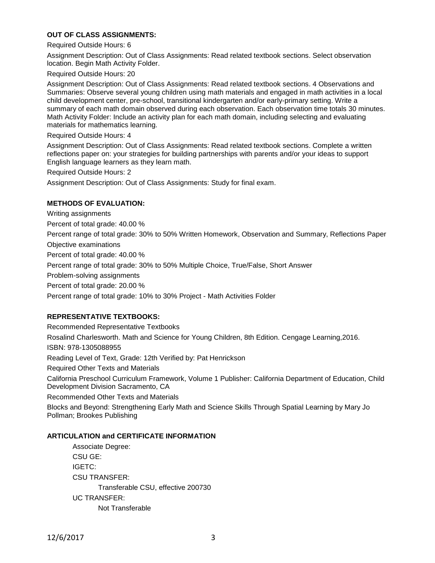## **OUT OF CLASS ASSIGNMENTS:**

#### Required Outside Hours: 6

Assignment Description: Out of Class Assignments: Read related textbook sections. Select observation location. Begin Math Activity Folder.

#### Required Outside Hours: 20

Assignment Description: Out of Class Assignments: Read related textbook sections. 4 Observations and Summaries: Observe several young children using math materials and engaged in math activities in a local child development center, pre-school, transitional kindergarten and/or early-primary setting. Write a summary of each math domain observed during each observation. Each observation time totals 30 minutes. Math Activity Folder: Include an activity plan for each math domain, including selecting and evaluating materials for mathematics learning.

#### Required Outside Hours: 4

Assignment Description: Out of Class Assignments: Read related textbook sections. Complete a written reflections paper on: your strategies for building partnerships with parents and/or your ideas to support English language learners as they learn math.

Required Outside Hours: 2

Assignment Description: Out of Class Assignments: Study for final exam.

#### **METHODS OF EVALUATION:**

Writing assignments

Percent of total grade: 40.00 %

Percent range of total grade: 30% to 50% Written Homework, Observation and Summary, Reflections Paper Objective examinations

Percent of total grade: 40.00 %

Percent range of total grade: 30% to 50% Multiple Choice, True/False, Short Answer

Problem-solving assignments

Percent of total grade: 20.00 %

Percent range of total grade: 10% to 30% Project - Math Activities Folder

### **REPRESENTATIVE TEXTBOOKS:**

Recommended Representative Textbooks Rosalind Charlesworth. Math and Science for Young Children, 8th Edition. Cengage Learning,2016. ISBN: 978-1305088955 Reading Level of Text, Grade: 12th Verified by: Pat Henrickson Required Other Texts and Materials California Preschool Curriculum Framework, Volume 1 Publisher: California Department of Education, Child Development Division Sacramento, CA Recommended Other Texts and Materials Blocks and Beyond: Strengthening Early Math and Science Skills Through Spatial Learning by Mary Jo Pollman; Brookes Publishing

#### **ARTICULATION and CERTIFICATE INFORMATION**

Associate Degree: CSU GE: IGETC: CSU TRANSFER: Transferable CSU, effective 200730 UC TRANSFER: Not Transferable